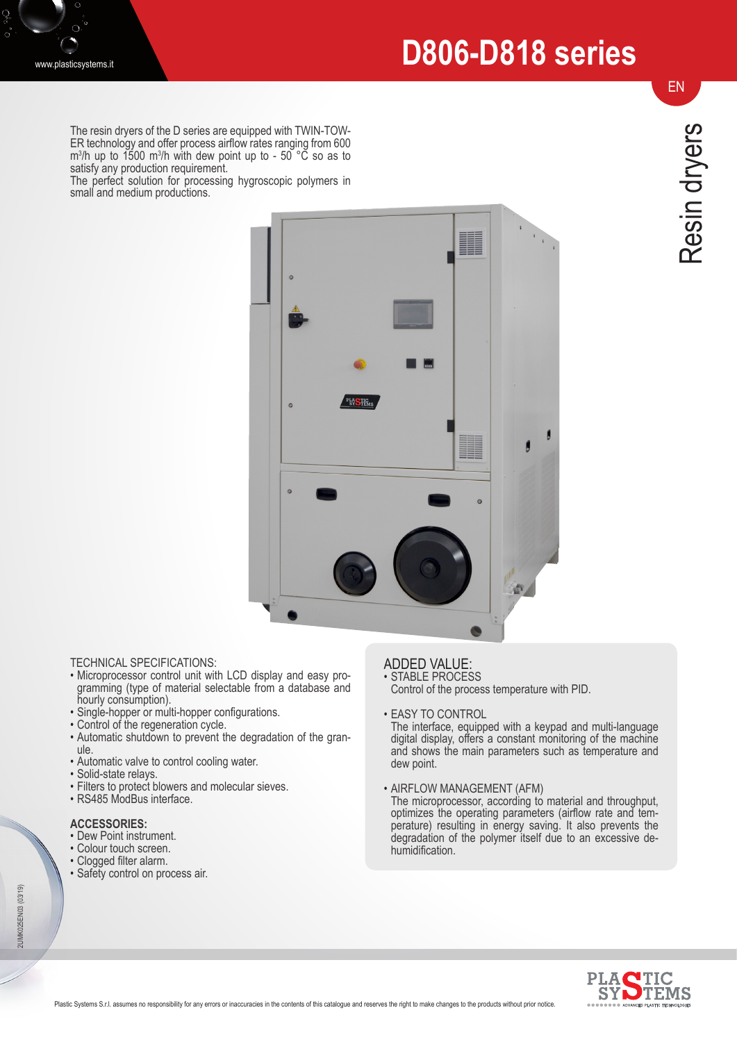# **D806-D818 series**

The resin dryers of the D series are equipped with TWIN-TOW-ER technology and offer process airflow rates ranging from 600  $\rm m^3/h$  up to 1500  $\rm m^3/h$  with dew point up to - 50 °C so as to satisfy any production requirement.

The perfect solution for processing hygroscopic polymers in small and medium productions.



- TECHNICAL SPECIFICATIONS:<br>• Microprocessor control unit with LCD display and easy pro-• Microprocessor control unit with LCD display and easy pro- gramming (type of material selectable from a database and hourly consumption).
- Single-hopper or multi-hopper configurations.
- Control of the regeneration cycle.
- Automatic shutdown to prevent the degradation of the granule.
- Automatic valve to control cooling water.
- Solid-state relays.
- Filters to protect blowers and molecular sieves.
- RS485 ModBus interface.

#### **ACCESSORIES:**

- Dew Point instrument.
- Colour touch screen.
- Clogged filter alarm.
- Safety control on process air.

### ADDED VALUE:

- STABLE PROCESS Control of the process temperature with PID.
- EASY TO CONTROL

The interface, equipped with a keypad and multi-language digital display, offers a constant monitoring of the machine and shows the main parameters such as temperature and dew point.

• AIRFLOW MANAGEMENT (AFM)

The microprocessor, according to material and throughput, optimizes the operating parameters (airflow rate and temperature) resulting in energy saving. It also prevents the degradation of the polymer itself due to an excessive dehumidification.



EN